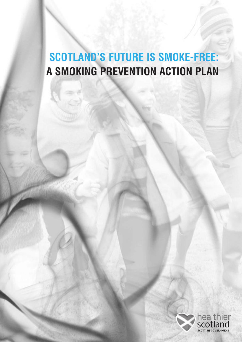# **SCOTLAND'S FUTURE IS SMOKE-FREE: A SMOKING PREVENTION ACTION PLAN**

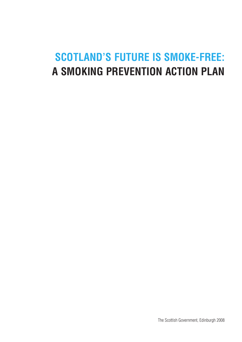# **SCOTLAND'S FUTURE IS SMOKE-FREE: A SMOKING PREVENTION ACTION PLAN**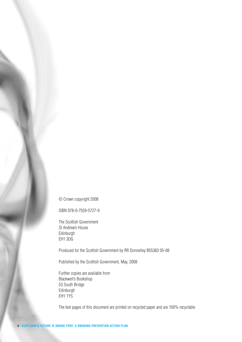© Crown copyright 2008

ISBN 978-0-7559-5727-9

The Scottish Government St Andrew's House Edinburgh EH1 3DG

Produced for the Scottish Government by RR Donnelley B55383 05-08

Published by the Scottish Government, May, 2008

Further copies are available from Blackwell's Bookshop 53 South Bridge Edinburgh EH1 1YS

The text pages of this document are printed on recycled paper and are 100% recyclable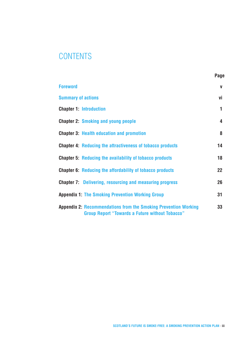# **CONTENTS**

|                                                                                                                                  | Page         |
|----------------------------------------------------------------------------------------------------------------------------------|--------------|
| <b>Foreword</b>                                                                                                                  | $\mathbf{V}$ |
| <b>Summary of actions</b>                                                                                                        | vi           |
| <b>Chapter 1: Introduction</b>                                                                                                   | 1            |
| <b>Chapter 2: Smoking and young people</b>                                                                                       | 4            |
| <b>Chapter 3: Health education and promotion</b>                                                                                 | 8            |
| <b>Chapter 4: Reducing the attractiveness of tobacco products</b>                                                                | 14           |
| <b>Chapter 5: Reducing the availability of tobacco products</b>                                                                  | 18           |
| <b>Chapter 6: Reducing the affordability of tobacco products</b>                                                                 | 22           |
| <b>Chapter 7: Delivering, resourcing and measuring progress</b>                                                                  | 26           |
| <b>Appendix 1: The Smoking Prevention Working Group</b>                                                                          | 31           |
| <b>Appendix 2: Recommendations from the Smoking Prevention Working</b><br><b>Group Report "Towards a Future without Tobacco"</b> | 33           |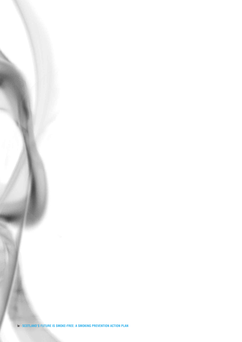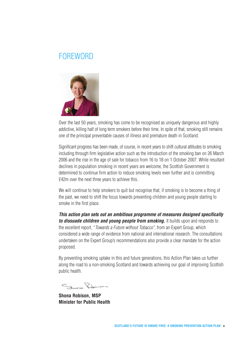### **FOREWORD**



Over the last 50 years, smoking has come to be recognised as uniquely dangerous and highly addictive, killing half of long term smokers before their time. In spite of that, smoking still remains one of the principal preventable causes of illness and premature death in Scotland.

Significant progress has been made, of course, in recent years to shift cultural attitudes to smoking including through firm legislative action such as the introduction of the smoking ban on 26 March 2006 and the rise in the age of sale for tobacco from 16 to 18 on 1 October 2007. While resultant declines in population smoking in recent years are welcome, the Scottish Government is determined to continue firm action to reduce smoking levels even further and is committing £42m over the next three years to achieve this.

We will continue to help smokers to quit but recognise that, if smoking is to become a thing of the past, we need to shift the focus towards preventing children and young people starting to smoke in the first place.

*This action plan sets out an ambitious programme of measures designed specifically to dissuade children and young people from smoking.* It builds upon and responds to the excellent report, "*Towards a Future without Tobacco"*, from an Expert Group, which considered a wide range of evidence from national and international research. The consultations undertaken on the Expert Group's recommendations also provide a clear mandate for the action proposed.

By preventing smoking uptake in this and future generations, this Action Plan takes us further along the road to a non-smoking Scotland and towards achieving our goal of improving Scottish public health.

Show Robinson

**Shona Robison, MSP Minister for Public Health**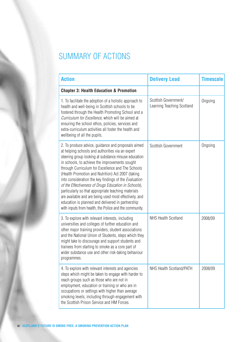# SUMMARY OF ACTIONS

|                                                                                                                                                                                                                                                                                                                                                                                                                                                                                                                                                                                                                                                                                                                                                                                                                                                                                                                                                                                                                                                                                                                                                                                                                                                                                                                                                                                                                                                           | <b>Action</b>                                                                                                                                                                                                                                                                                                                                                       | <b>Delivery Lead</b>                               | <b>Timescale</b> |
|-----------------------------------------------------------------------------------------------------------------------------------------------------------------------------------------------------------------------------------------------------------------------------------------------------------------------------------------------------------------------------------------------------------------------------------------------------------------------------------------------------------------------------------------------------------------------------------------------------------------------------------------------------------------------------------------------------------------------------------------------------------------------------------------------------------------------------------------------------------------------------------------------------------------------------------------------------------------------------------------------------------------------------------------------------------------------------------------------------------------------------------------------------------------------------------------------------------------------------------------------------------------------------------------------------------------------------------------------------------------------------------------------------------------------------------------------------------|---------------------------------------------------------------------------------------------------------------------------------------------------------------------------------------------------------------------------------------------------------------------------------------------------------------------------------------------------------------------|----------------------------------------------------|------------------|
|                                                                                                                                                                                                                                                                                                                                                                                                                                                                                                                                                                                                                                                                                                                                                                                                                                                                                                                                                                                                                                                                                                                                                                                                                                                                                                                                                                                                                                                           | <b>Chapter 3: Health Education &amp; Promotion</b>                                                                                                                                                                                                                                                                                                                  |                                                    |                  |
|                                                                                                                                                                                                                                                                                                                                                                                                                                                                                                                                                                                                                                                                                                                                                                                                                                                                                                                                                                                                                                                                                                                                                                                                                                                                                                                                                                                                                                                           | 1. To facilitate the adoption of a holistic approach to<br>health and well-being in Scottish schools to be<br>fostered through the Health Promoting School and a<br>Curriculum for Excellence, which will be aimed at<br>ensuring the school ethos, policies, services and<br>extra-curriculum activities all foster the health and<br>wellbeing of all the pupils. | Scottish Government/<br>Learning Teaching Scotland | Ongoing          |
| 2. To produce advice, guidance and proposals aimed<br>at helping schools and authorities via an expert<br>steering group looking at substance misuse education<br>in schools, to achieve the improvements sought<br>through Curriculum for Excellence and The Schools<br>(Health Promotion and Nutrition) Act 2007 (taking<br>into consideration the key findings of the Evaluation<br>of the Effectiveness of Drugs Education in Schools),<br>particularly so that appropriate teaching materials<br>are available and are being used most effectively, and<br>education is planned and delivered in partnership<br>with inputs from health, the Police and the community.<br>3. To explore with relevant interests, including<br>universities and colleges of further education and<br>other major training providers, student associations<br>and the National Union of Students, steps which they<br>might take to discourage and support students and<br>trainees from starting to smoke as a core part of<br>wider substance use and other risk-taking behaviour<br>programmes.<br>4. To explore with relevant interests and agencies<br>steps which might be taken to engage with harder to<br>reach groups such as those who are not in<br>employment, education or training or who are in<br>occupations or settings with higher than average<br>smoking levels, including through engagement with<br>the Scottish Prison Service and HM Forces. |                                                                                                                                                                                                                                                                                                                                                                     | <b>Scottish Government</b>                         | Ongoing          |
|                                                                                                                                                                                                                                                                                                                                                                                                                                                                                                                                                                                                                                                                                                                                                                                                                                                                                                                                                                                                                                                                                                                                                                                                                                                                                                                                                                                                                                                           |                                                                                                                                                                                                                                                                                                                                                                     | <b>NHS Health Scotland</b>                         | 2008/09          |
|                                                                                                                                                                                                                                                                                                                                                                                                                                                                                                                                                                                                                                                                                                                                                                                                                                                                                                                                                                                                                                                                                                                                                                                                                                                                                                                                                                                                                                                           |                                                                                                                                                                                                                                                                                                                                                                     | NHS Health Scotland/PATH                           | 2008/09          |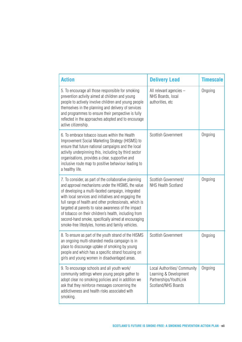| <b>Action</b>                                                                                                                                                                                                                                                                                                                                                                                                                                                                                                     | <b>Delivery Lead</b>                                                                                    | <b>Timescale</b> |
|-------------------------------------------------------------------------------------------------------------------------------------------------------------------------------------------------------------------------------------------------------------------------------------------------------------------------------------------------------------------------------------------------------------------------------------------------------------------------------------------------------------------|---------------------------------------------------------------------------------------------------------|------------------|
| 5. To encourage all those responsible for smoking<br>prevention activity aimed at children and young<br>people to actively involve children and young people<br>themselves in the planning and delivery of services<br>and programmes to ensure their perspective is fully<br>reflected in the approaches adopted and to encourage<br>active citizenship.                                                                                                                                                         | All relevant agencies -<br>NHS Boards, local<br>authorities, etc                                        | Ongoing          |
| 6. To embrace tobacco issues within the Health<br>Improvement Social Marketing Strategy (HISMS) to<br>ensure that future national campaigns and the local<br>activity underpinning this, including by third sector<br>organisations, provides a clear, supportive and<br>inclusive route map to positive behaviour leading to<br>a healthy life.                                                                                                                                                                  | <b>Scottish Government</b>                                                                              | Ongoing          |
| 7. To consider, as part of the collaborative planning<br>and approval mechanisms under the HISMS, the value<br>of developing a multi-faceted campaign, integrated<br>with local services and initiatives and engaging the<br>full range of health and other professionals, which is<br>targeted at parents to raise awareness of the impact<br>of tobacco on their children's health, including from<br>second-hand smoke, specifically aimed at encouraging<br>smoke-free lifestyles, homes and family vehicles. | Scottish Government/<br><b>NHS Health Scotland</b>                                                      | Ongoing          |
| 8. To ensure as part of the youth strand of the HISMS<br>an ongoing multi-stranded media campaign is in<br>place to discourage uptake of smoking by young<br>people and which has a specific strand focusing on<br>girls and young women in disadvantaged areas.                                                                                                                                                                                                                                                  | Scottish Government                                                                                     | Ongoing          |
| 9. To encourage schools and all youth work/<br>community settings where young people gather to<br>adopt clear no smoking policies and in addition we<br>ask that they reinforce messages concerning the<br>addictiveness and health risks associated with<br>smoking.                                                                                                                                                                                                                                             | Local Authorities/ Community<br>Learning & Development<br>Partnerships/YouthLink<br>Scotland/NHS Boards | Ongoing          |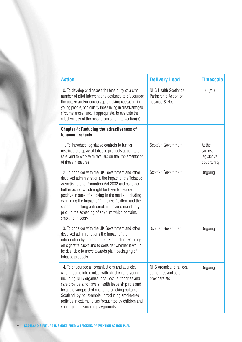|                                                                                                                                                                                                                                                                                                                                                                                                                                                                                                                                                                                                                                                                                                                                                                                                                                                                                                                                                                                                                                                                                                                                                                              | <b>Action</b>                                                                                                                                                                                                                                                                                                                               | <b>Delivery Lead</b>                                              | <b>Timescale</b>                                 |
|------------------------------------------------------------------------------------------------------------------------------------------------------------------------------------------------------------------------------------------------------------------------------------------------------------------------------------------------------------------------------------------------------------------------------------------------------------------------------------------------------------------------------------------------------------------------------------------------------------------------------------------------------------------------------------------------------------------------------------------------------------------------------------------------------------------------------------------------------------------------------------------------------------------------------------------------------------------------------------------------------------------------------------------------------------------------------------------------------------------------------------------------------------------------------|---------------------------------------------------------------------------------------------------------------------------------------------------------------------------------------------------------------------------------------------------------------------------------------------------------------------------------------------|-------------------------------------------------------------------|--------------------------------------------------|
|                                                                                                                                                                                                                                                                                                                                                                                                                                                                                                                                                                                                                                                                                                                                                                                                                                                                                                                                                                                                                                                                                                                                                                              | 10. To develop and assess the feasibility of a small<br>number of pilot interventions designed to discourage<br>the uptake and/or encourage smoking cessation in<br>young people, particularly those living in disadvantaged<br>circumstances; and, if appropriate, to evaluate the<br>effectiveness of the most promising intervention(s). | NHS Health Scotland/<br>Partnership Action on<br>Tobacco & Health | 2009/10                                          |
|                                                                                                                                                                                                                                                                                                                                                                                                                                                                                                                                                                                                                                                                                                                                                                                                                                                                                                                                                                                                                                                                                                                                                                              | <b>Chapter 4: Reducing the attractiveness of</b><br>tobacco products                                                                                                                                                                                                                                                                        |                                                                   |                                                  |
|                                                                                                                                                                                                                                                                                                                                                                                                                                                                                                                                                                                                                                                                                                                                                                                                                                                                                                                                                                                                                                                                                                                                                                              | 11. To introduce legislative controls to further<br>restrict the display of tobacco products at points of<br>sale, and to work with retailers on the implementation<br>of these measures.                                                                                                                                                   | <b>Scottish Government</b>                                        | At the<br>earliest<br>legislative<br>opportunity |
| 12. To consider with the UK Government and other<br>devolved administrations, the impact of the Tobacco<br>Advertising and Promotion Act 2002 and consider<br>further action which might be taken to reduce<br>positive images of smoking in the media, including<br>examining the impact of film classification, and the<br>scope for making anti-smoking adverts mandatory<br>prior to the screening of any film which contains<br>smoking imagery.<br>13. To consider with the UK Government and other<br>devolved administrations the impact of the<br>introduction by the end of 2008 of picture warnings<br>on cigarette packs and to consider whether it would<br>be desirable to move towards plain packaging of<br>tobacco products.<br>14. To encourage all organisations and agencies<br>who in come into contact with children and young,<br>including NHS organisations, local authorities and<br>care providers, to have a health leadership role and<br>be at the vanguard of changing smoking cultures in<br>Scotland, by, for example, introducing smoke-free<br>policies in external areas frequented by children and<br>young people such as playgrounds. |                                                                                                                                                                                                                                                                                                                                             | <b>Scottish Government</b>                                        | Ongoing                                          |
|                                                                                                                                                                                                                                                                                                                                                                                                                                                                                                                                                                                                                                                                                                                                                                                                                                                                                                                                                                                                                                                                                                                                                                              |                                                                                                                                                                                                                                                                                                                                             | <b>Scottish Government</b>                                        | Ongoing                                          |
|                                                                                                                                                                                                                                                                                                                                                                                                                                                                                                                                                                                                                                                                                                                                                                                                                                                                                                                                                                                                                                                                                                                                                                              |                                                                                                                                                                                                                                                                                                                                             | NHS organisations, local<br>authorities and care<br>providers etc | Ongoing                                          |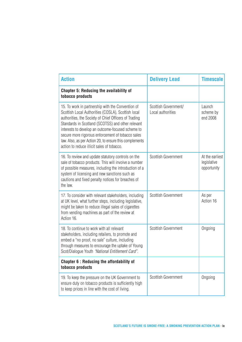| <b>Action</b>                                                                                                                                                                                                                                                                                                                                                                                                                            | <b>Delivery Lead</b>                      | <b>Timescale</b>                              |
|------------------------------------------------------------------------------------------------------------------------------------------------------------------------------------------------------------------------------------------------------------------------------------------------------------------------------------------------------------------------------------------------------------------------------------------|-------------------------------------------|-----------------------------------------------|
| <b>Chapter 5: Reducing the availability of</b><br>tobacco products                                                                                                                                                                                                                                                                                                                                                                       |                                           |                                               |
| 15. To work in partnership with the Convention of<br>Scottish Local Authorities (COSLA), Scottish local<br>authorities, the Society of Chief Officers of Trading<br>Standards in Scotland (SCOTSS) and other relevant<br>interests to develop an outcome-focused scheme to<br>secure more rigorous enforcement of tobacco sales<br>law. Also, as per Action 20, to ensure this complements<br>action to reduce illicit sales of tobacco. | Scottish Government/<br>Local authorities | Launch<br>scheme by<br>end 2008               |
| 16. To review and update statutory controls on the<br>sale of tobacco products. This will involve a number<br>of possible measures, including the introduction of a<br>system of licensing and new sanctions such as<br>cautions and fixed penalty notices for breaches of<br>the law.                                                                                                                                                   | <b>Scottish Government</b>                | At the earliest<br>legislative<br>opportunity |
| 17. To consider with relevant stakeholders, including<br>at UK level, what further steps, including legislative,<br>might be taken to reduce illegal sales of cigarettes<br>from vending machines as part of the review at<br>Action 16.                                                                                                                                                                                                 | <b>Scottish Government</b>                | As per<br>Action 16                           |
| 18. To continue to work with all relevant<br>stakeholders, including retailers, to promote and<br>embed a "no proof, no sale" culture, including<br>through measures to encourage the uptake of Young<br>Scot/Dialogue Youth "National Entitlement Card".                                                                                                                                                                                | <b>Scottish Government</b>                | Ongoing                                       |
| <b>Chapter 6: Reducing the affordability of</b><br>tobacco products                                                                                                                                                                                                                                                                                                                                                                      |                                           |                                               |
| 19. To keep the pressure on the UK Government to<br>ensure duty on tobacco products is sufficiently high<br>to keep prices in line with the cost of living.                                                                                                                                                                                                                                                                              | <b>Scottish Government</b>                | Ongoing                                       |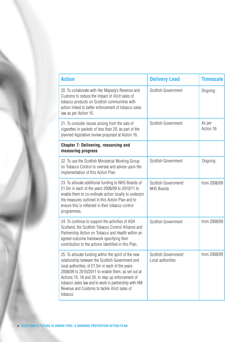| <b>Action</b>                                                                                                                                                                                                                                                                                                                                                                                | <b>Delivery Lead</b>                      | <b>Timescale</b>    |
|----------------------------------------------------------------------------------------------------------------------------------------------------------------------------------------------------------------------------------------------------------------------------------------------------------------------------------------------------------------------------------------------|-------------------------------------------|---------------------|
| 20. To collaborate with Her Majesty's Revenue and<br>Customs to reduce the impact of illicit sales of<br>tobacco products on Scottish communities with<br>action linked to better enforcement of tobacco sales<br>law as per Action 15.                                                                                                                                                      | <b>Scottish Government</b>                | Ongoing             |
| 21. To consider issues arising from the sale of<br>cigarettes in packets of less than 20, as part of the<br>planned legislative review proposed at Action 16.                                                                                                                                                                                                                                | <b>Scottish Government</b>                | As per<br>Action 16 |
| <b>Chapter 7: Delivering, resourcing and</b><br>measuring progress                                                                                                                                                                                                                                                                                                                           |                                           |                     |
| 22. To use the Scottish Ministerial Working Group<br>on Tobacco Control to oversee and advise upon the<br>implementation of this Action Plan.                                                                                                                                                                                                                                                | <b>Scottish Government</b>                | Ongoing             |
| 23. To allocate additional funding to NHS Boards of<br>£1.5m in each of the years 2008/09 to 2010/11 to<br>enable them to co-ordinate action locally to underpin<br>the measures outlined in this Action Plan and to<br>ensure this is reflected in their tobacco control<br>programmes.                                                                                                     | Scottish Government/<br><b>NHS Boards</b> | from 2008/09        |
| 24. To continue to support the activities of ASH<br>Scotland, the Scottish Tobacco Control Alliance and<br>Partnership Action on Tobacco and Health within an<br>agreed outcome framework specifying their<br>contribution to the actions identified in this Plan.                                                                                                                           | <b>Scottish Government</b>                | from 2008/09        |
| 25. To allocate funding within the spirit of the new<br>relationship between the Scottish Government and<br>local authorities, of £1.5m in each of the years<br>2008/09 to 2010/2011 to enable them, as set out at<br>Actions 15, 18 and 20, to step up enforcement of<br>tobacco sales law and to work in partnership with HM<br>Revenue and Customs to tackle illicit sales of<br>tobacco. | Scottish Government/<br>Local authorities | from 2008/09        |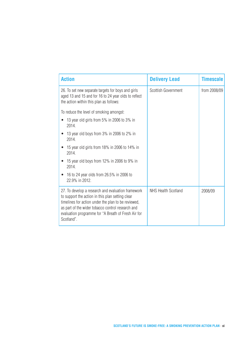| <b>Action</b>                                                                                                                                                                                                                                                                           | <b>Delivery Lead</b>       | <b>Timescale</b> |
|-----------------------------------------------------------------------------------------------------------------------------------------------------------------------------------------------------------------------------------------------------------------------------------------|----------------------------|------------------|
| 26. To set new separate targets for boys and girls<br>aged 13 and 15 and for 16 to 24 year olds to reflect<br>the action within this plan as follows:                                                                                                                                   | <b>Scottish Government</b> | from 2008/09     |
| To reduce the level of smoking amongst:                                                                                                                                                                                                                                                 |                            |                  |
| 13 year old girls from 5% in 2006 to 3% in<br>2014.                                                                                                                                                                                                                                     |                            |                  |
| 13 year old boys from 3% in 2006 to 2% in<br>2014.                                                                                                                                                                                                                                      |                            |                  |
| 15 year old girls from 18% in 2006 to 14% in<br>2014.                                                                                                                                                                                                                                   |                            |                  |
| 15 year old boys from 12% in 2006 to 9% in<br>2014.                                                                                                                                                                                                                                     |                            |                  |
| 16 to 24 year olds from 26.5% in 2006 to<br>$\bullet$<br>22.9% in 2012.                                                                                                                                                                                                                 |                            |                  |
| 27. To develop a research and evaluation framework<br>to support the action in this plan setting clear<br>timelines for action under the plan to be reviewed,<br>as part of the wider tobacco control research and<br>evaluation programme for "A Breath of Fresh Air for<br>Scotland". | <b>NHS Health Scotland</b> | 2008/09          |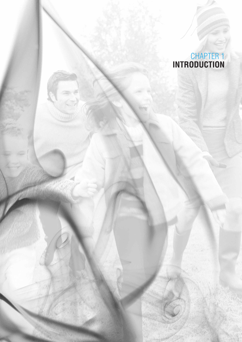# CHAPTER 1 **INTRODUCTION**

**xiii -** *CONTINUES* **SCOTLAND SCOTLAND SCOTLAND SCOTLAND SCOTLAND SCOTLAND SCOTLAND SCOTLAND SCOTLAND SCOTLAND SCOTLAND SCOTLAND SCOTLAND SCOTLAND SCOTLAND SCOTLAND SCOTLAND SCOTLAND SCOTLAND SCOTLAND SCOTLAND SCOTLAND SCOT**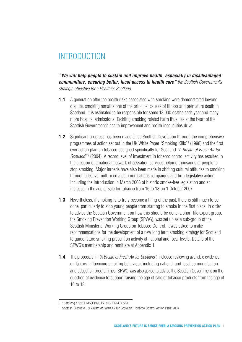# INTRODUCTION

*"We will help people to sustain and improve health, especially in disadvantaged communities, ensuring better, local access to health care" the Scottish Government's strategic objective for a Healthier Scotland:*

- **1.1** A generation after the health risks associated with smoking were demonstrated beyond dispute, smoking remains one of the principal causes of illness and premature death in Scotland. It is estimated to be responsible for some 13,000 deaths each year and many more hospital admissions. Tackling smoking related harm thus lies at the heart of the Scottish Government's health improvement and health inequalities drive.
- **1.2** Significant progress has been made since Scottish Devolution through the comprehensive programmes of action set out in the UK White Paper "Smoking Kills"1 (1998) and the first ever action plan on tobacco designed specifically for Scotland *"A Breath of Fresh Air for Scotland*<sup>"2</sup> (2004). A record level of investment in tobacco control activity has resulted in the creation of a national network of cessation services helping thousands of people to stop smoking. Major inroads have also been made in shifting cultural attitudes to smoking through effective multi-media communications campaigns and firm legislative action, including the introduction in March 2006 of historic smoke-free legislation and an increase in the age of sale for tobacco from 16 to 18 on 1 October 2007.
- **1.3** Nevertheless, if smoking is to truly become a thing of the past, there is still much to be done, particularly to stop young people from starting to smoke in the first place. In order to advise the Scottish Government on how this should be done, a short-life expert group, the Smoking Prevention Working Group (SPWG), was set up as a sub-group of the Scottish Ministerial Working Group on Tobacco Control. It was asked to make recommendations for the development of a new long term smoking strategy for Scotland to guide future smoking prevention activity at national and local levels. Details of the SPWG's membership and remit are at Appendix 1.
- **1.4** The proposals in *"A Breath of Fresh Air for Scotland"*, included reviewing available evidence on factors influencing smoking behaviour, including national and local communication and education programmes. SPWG was also asked to advise the Scottish Government on the question of evidence to support raising the age of sale of tobacco products from the age of 16 to 18.

<sup>1</sup> "*Smoking Kills"*: HMSO 1998 ISBN 0-10-141772-1

<sup>2</sup> Scottish Executive, *"A Breath of Fresh Air for Scotland"*, Tobacco Control Action Plan: 2004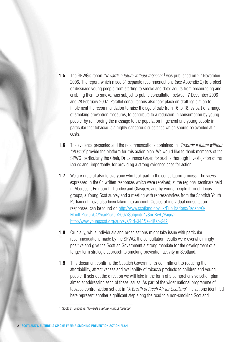- **1.5** The SPWG's report *"Towards a future without tobacco*"<sup>3</sup> was published on 22 November 2006. The report, which made 31 separate recommendations (see Appendix 2) to protect or dissuade young people from starting to smoke and deter adults from encouraging and enabling them to smoke, was subject to public consultation between 7 December 2006 and 28 February 2007. Parallel consultations also took place on draft legislation to implement the recommendation to raise the age of sale from 16 to 18, as part of a range of smoking prevention measures, to contribute to a reduction in consumption by young people, by reinforcing the message to the population in general and young people in particular that tobacco is a highly dangerous substance which should be avoided at all costs.
- **1.6** The evidence presented and the recommendations contained in *"Towards a future without tobacco"* provide the platform for this action plan. We would like to thank members of the SPWG, particularly the Chair, Dr Laurence Gruer, for such a thorough investigation of the issues and, importantly, for providing a strong evidence base for action.
- **1.7** We are grateful also to everyone who took part in the consultation process. The views expressed in the 64 written responses which were received; at the regional seminars held in Aberdeen, Edinburgh, Dundee and Glasgow; and by young people through focus groups, a Young Scot survey and a meeting with representatives from the Scottish Youth Parliament, have also been taken into account. Copies of individual consultation responses, can be found on http://www.scotland.gov.uk/Publications/Recent/Q/ MonthPicker/04/YearPicker/2007/Subject/-1/SortBy/0/Page/2 http://www.youngscot.org/surveys/?id=348&a=d&sr=242
- **1.8** Crucially, while individuals and organisations might take issue with particular recommendations made by the SPWG, the consultation results were overwhelmingly positive and give the Scottish Government a strong mandate for the development of a longer term strategic approach to smoking prevention activity in Scotland.
- **1.9** This document confirms the Scottish Government's commitment to reducing the affordability, attractiveness and availability of tobacco products to children and young people. It sets out the direction we will take in the form of a comprehensive action plan aimed at addressing each of these issues. As part of the wider national programme of tobacco control action set out in "*A Breath of Fresh Air for Scotland*" the actions identified here represent another significant step along the road to a non-smoking Scotland.

<sup>3</sup> Scottish Executive:*"Towards a future without tobacco"*: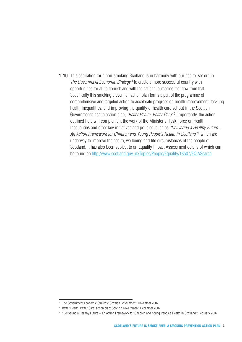**1.10** This aspiration for a non-smoking Scotland is in harmony with our desire, set out in *The Government Economic Strategy*<sup>4</sup> to create a more successful country with opportunities for all to flourish and with the national outcomes that flow from that. Specifically this smoking prevention action plan forms a part of the programme of comprehensive and targeted action to accelerate progress on health improvement, tackling health inequalities, and improving the quality of health care set out in the Scottish Government's health action plan, "Better Health, Better Care"<sup>5</sup>. Importantly, the action outlined here will complement the work of the Ministerial Task Force on Health Inequalities and other key initiatives and policies, such as *"Delivering a Healthy Future –* An Action Framework for Children and Young People's Health in Scotland<sup>"6</sup> which are underway to improve the health, wellbeing and life circumstances of the people of Scotland. It has also been subject to an Equality Impact Assessment details of which can be found on http://www.scotland.gov.uk/Topics/People/Equality/18507/EQIASearch

<sup>4</sup> The Government Economic Strategy: Scottish Government, November 2007

<sup>5</sup> Better Health, Better Care: action plan: Scottish Government, December 2007

<sup>6</sup> "Delivering a Healthy Future – An Action Framework for Children and Young People's Health in Scotland": February 2007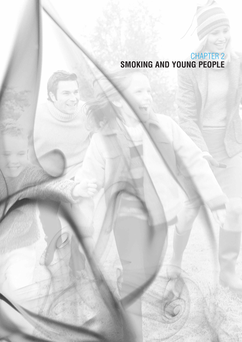## CHAPTER 2 **SMOKING AND YOUNG PEOPLE**

**4** - **CONTINUING SCOTLAND'S JOURNEY TO NON-SMOKING: A SMOKING PREVENTION ACTION PLAN**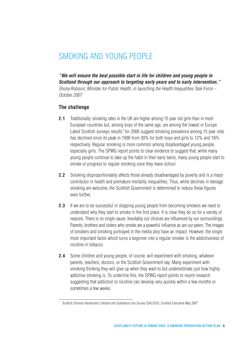# SMOKING AND YOUNG PEOPLE

*"We will ensure the best possible start in life for children and young people in Scotland through our approach to targeting early years and to early intervention." Shona Robison, Minister for Public Health, in launching the Health Inequalities Task Force – October 2007*

#### **The challenge**

- **2.1** Traditionally, smoking rates in the UK are higher among 15 year old girls than in most European countries but, among boys of the same age, are among the lowest in Europe. Latest Scottish surveys results<sup>7</sup> for 2006 suggest smoking prevalence among 15 year olds has declined since its peak in 1996 from 30% for both boys and girls to 12% and 18% respectively. Regular smoking is more common among disadvantaged young people, especially girls. The SPWG report points to clear evidence to suggest that, while many young people continue to take up the habit in their early teens, many young people start to smoke or progress to regular smoking once they leave school.
- **2.2** Smoking disproportionately affects those already disadvantaged by poverty and is a major contributor in health and premature mortality inequalities. Thus, while declines in teenage smoking are welcome, the Scottish Government is determined to reduce these figures even further.
- **2.3** If we are to be successful in stopping young people from becoming smokers we need to understand why they start to smoke in the first place. It is clear they do so for a variety of reasons. There is no single cause. Inevitably our choices are influenced by our surroundings. Parents, brothers and sisters who smoke are a powerful influence as are our peers. The images of smokers and smoking portrayed in the media also have an impact. However, the single most important factor which turns a beginner into a regular smoker is the addictiveness of nicotine in tobacco.
- **2.4** Some children and young people, of course, will experiment with smoking, whatever parents, teachers, doctors, or the Scottish Government say. Many experiment with smoking thinking they will give up when they want to but underestimate just how highly addictive smoking is. To underline this, the SPWG report points to recent research suggesting that addiction to nicotine can develop very quickly within a few months or sometimes a few weeks.

<sup>7</sup> Scottish Schools Adolescent Lifestyle and Substance Use Survey (SALSUS): Scottish Executive May 2007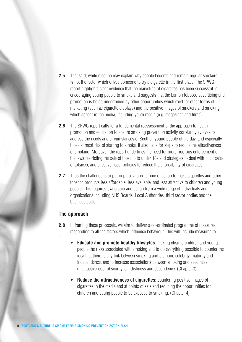- **2.5** That said, while nicotine may explain why people become and remain regular smokers, it is not the factor which drives someone to try a cigarette in the first place. The SPWG report highlights clear evidence that the marketing of cigarettes has been successful in encouraging young people to smoke and suggests that the ban on tobacco advertising and promotion is being undermined by other opportunities which exist for other forms of marketing (such as cigarette displays) and the positive images of smokers and smoking which appear in the media, including youth media (e.g. magazines and films).
- **2.6** The SPWG report calls for a fundamental reassessment of the approach to health promotion and education to ensure smoking prevention activity constantly evolves to address the needs and circumstances of Scottish young people of the day, and especially those at most risk of starting to smoke. It also calls for steps to reduce the attractiveness of smoking. Moreover, the report underlines the need for more rigorous enforcement of the laws restricting the sale of tobacco to under 18s and strategies to deal with illicit sales of tobacco; and effective fiscal policies to reduce the affordability of cigarettes.
- **2.7** Thus the challenge is to put in place a programme of action to make cigarettes and other tobacco products less affordable, less available, and less attractive to children and young people. This requires ownership and action from a wide range of individuals and organisations including NHS Boards, Local Authorities, third sector bodies and the business sector.

#### **The approach**

- **2.8** In framing these proposals, we aim to deliver a co-ordinated programme of measures responding to all the factors which influence behaviour. This will include measures to:-
	- **Educate and promote healthy lifestyles:** making clear to children and young people the risks associated with smoking and to do everything possible to counter the idea that there is any link between smoking and glamour, celebrity, maturity and independence, and to increase associations between smoking and seediness, unattractiveness, obscurity, childishness and dependence. (Chapter 3)
	- **Reduce the attractiveness of cigarettes:** countering positive images of cigarettes in the media and at points of sale and reducing the opportunities for children and young people to be exposed to smoking. (Chapter 4)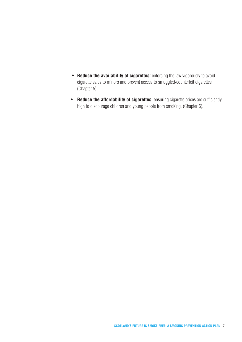- **Reduce the availability of cigarettes:** enforcing the law vigorously to avoid cigarette sales to minors and prevent access to smuggled/counterfeit cigarettes. (Chapter 5)
- **Reduce the affordability of cigarettes:** ensuring cigarette prices are sufficiently high to discourage children and young people from smoking. (Chapter 6).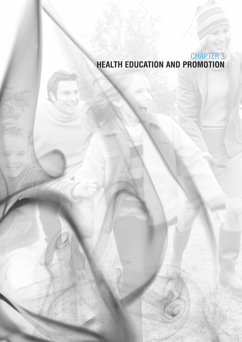## CHAPTER 3 **HEALTH EDUCATION AND PROMOTION**

**8 - Prevention Scotland's Journal of the Scotland's Journal of the Scotland's Journal of the Scotland's Journal of the Scotland's Journal of the Scotland's Scotland's Andrew Prevention action and the Scotland's Scotland's**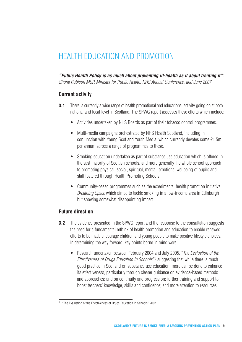# HEALTH EDUCATION AND PROMOTION

*"Public Health Policy is as much about preventing ill-health as it about treating it": Shona Robison MSP, Minister for Public Health, NHS Annual Conference, and June 2007*

#### **Current activity**

- **3.1** There is currently a wide range of health promotional and educational activity going on at both national and local level in Scotland. The SPWG report assesses these efforts which include:
	- Activities undertaken by NHS Boards as part of their tobacco control programmes.
	- Multi-media campaigns orchestrated by NHS Health Scotland, including in conjunction with Young Scot and Youth Media, which currently devotes some £1.5m per annum across a range of programmes to these.
	- Smoking education undertaken as part of substance use education which is offered in the vast majority of Scottish schools, and more generally the whole school approach to promoting physical, social, spiritual, mental, emotional wellbeing of pupils and staff fostered through Health Promoting Schools.
	- Community-based programmes such as the experimental health promotion initiative *Breathing Space* which aimed to tackle smoking in a low-income area in Edinburgh but showing somewhat disappointing impact.

#### **Future direction**

- **3.2** The evidence presented in the SPWG report and the response to the consultation suggests the need for a fundamental rethink of health promotion and education to enable renewed efforts to be made encourage children and young people to make positive lifestyle choices. In determining the way forward, key points borne in mind were:
	- Research undertaken between February 2004 and July 2005, "*The Evaluation of the Effectiveness of Drugs Education in Schools*<sup>"8</sup> suggesting that while there is much good practice in Scotland on substance use education, more can be done to enhance its effectiveness, particularly through clearer guidance on evidence-based methods and approaches; and on continuity and progression; further training and support to boost teachers' knowledge, skills and confidence; and more attention to resources.

<sup>8</sup> "The Evaluation of the Effectiveness of Drugs Education in Schools" 2007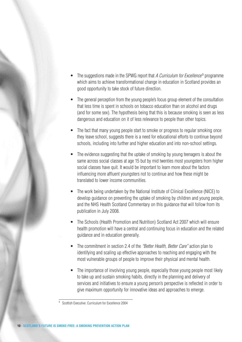- The suggestions made in the SPWG report that *A Curriculum for Excellence*<sup>9</sup> programme which aims to achieve transformational change in education in Scotland provides an good opportunity to take stock of future direction.
- The general perception from the young people's focus group element of the consultation that less time is spent in schools on tobacco education than on alcohol and drugs (and for some sex). The hypothesis being that this is because smoking is seen as less dangerous and education on it of less relevance to people than other topics.
- The fact that many young people start to smoke or progress to regular smoking once they leave school, suggests there is a need for educational efforts to continue beyond schools, including into further and higher education and into non-school settings.
- The evidence suggesting that the uptake of smoking by young teenagers is about the same across social classes at age 15 but by mid twenties most youngsters from higher social classes have quit. It would be important to learn more about the factors influencing more affluent youngsters not to continue and how these might be translated to lower income communities.
- The work being undertaken by the National Institute of Clinical Excellence (NICE) to develop guidance on preventing the uptake of smoking by children and young people, and the NHS Health Scotland Commentary on this guidance that will follow from its publication in July 2008.
- The Schools (Health Promotion and Nutrition) Scotland Act 2007 which will ensure health promotion will have a central and continuing focus in education and the related guidance and in education generally.
- The commitment in section 2.4 of the *"Better Health, Better Care"* action plan to identifying and scaling up effective approaches to reaching and engaging with the most vulnerable groups of people to improve their physical and mental health.
- The importance of involving young people, especially those young people most likely to take up and sustain smoking habits, directly in the planning and delivery of services and initiatives to ensure a young person's perspective is reflected in order to give maximum opportunity for innovative ideas and approaches to emerge.

<sup>9</sup> Scottish Executive: Curriculum for Excellence 2004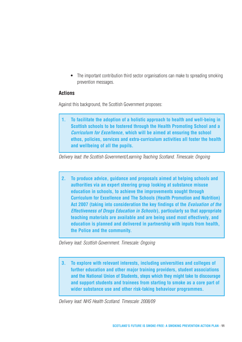• The important contribution third sector organisations can make to spreading smoking prevention messages.

#### **Actions**

Against this background, the Scottish Government proposes:

**1. To facilitate the adoption of a holistic approach to health and well-being in Scottish schools to be fostered through the Health Promoting School and a** *Curriculum for Excellence***, which will be aimed at ensuring the school ethos, policies, services and extra-curriculum activities all foster the health and wellbeing of all the pupils.**

*Delivery lead: the Scottish Government/Learning Teaching Scotland. Timescale: Ongoing*

**2. To produce advice, guidance and proposals aimed at helping schools and authorities via an expert steering group looking at substance misuse education in schools, to achieve the improvements sought through Curriculum for Excellence and The Schools (Health Promotion and Nutrition) Act 2007 (taking into consideration the key findings of the** *Evaluation of the Effectiveness of Drugs Education in Schools***), particularly so that appropriate teaching materials are available and are being used most effectively, and education is planned and delivered in partnership with inputs from health, the Police and the community.**

*Delivery lead: Scottish Government. Timescale: Ongoing*

**3. To explore with relevant interests, including universities and colleges of further education and other major training providers, student associations and the National Union of Students, steps which they might take to discourage and support students and trainees from starting to smoke as a core part of wider substance use and other risk-taking behaviour programmes.**

*Delivery lead: NHS Health Scotland. Timescale: 2008/09*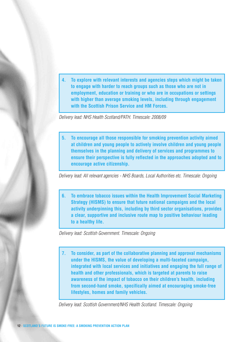**4. To explore with relevant interests and agencies steps which might be taken to engage with harder to reach groups such as those who are not in employment, education or training or who are in occupations or settings with higher than average smoking levels, including through engagement with the Scottish Prison Service and HM Forces.**

*Delivery lead: NHS Health Scotland/PATH. Timescale: 2008/09*

**5. To encourage all those responsible for smoking prevention activity aimed at children and young people to actively involve children and young people themselves in the planning and delivery of services and programmes to ensure their perspective is fully reflected in the approaches adopted and to encourage active citizenship.**

*Delivery lead: All relevant agencies - NHS Boards, Local Authorities etc. Timescale: Ongoing*

**6. To embrace tobacco issues within the Health Improvement Social Marketing Strategy (HISMS) to ensure that future national campaigns and the local activity underpinning this, including by third sector organisations, provides a clear, supportive and inclusive route map to positive behaviour leading to a healthy life.**

*Delivery lead: Scottish Government. Timescale: Ongoing*

**7. To consider, as part of the collaborative planning and approval mechanisms under the HISMS, the value of developing a multi-faceted campaign, integrated with local services and initiatives and engaging the full range of health and other professionals, which is targeted at parents to raise awareness of the impact of tobacco on their children's health, including from second-hand smoke, specifically aimed at encouraging smoke-free lifestyles, homes and family vehicles.**

*Delivery lead: Scottish Government/NHS Health Scotland. Timescale: Ongoing*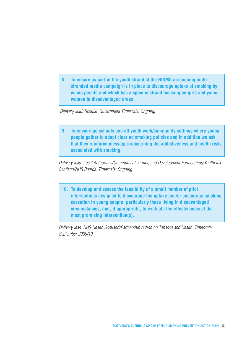**8. To ensure as part of the youth strand of the HISMS an ongoing multistranded media campaign is in place to discourage uptake of smoking by young people and which has a specific strand focusing on girls and young women in disadvantaged areas.**

*Delivery lead: Scottish Government Timescale: Ongoing*

**9. To encourage schools and all youth work/community settings where young people gather to adopt clear no smoking policies and in addition we ask that they reinforce messages concerning the addictiveness and health risks associated with smoking.**

*Delivery lead: Local Authorities/Community Learning and Development Partnerships/YouthLink Scotland/NHS Boards. Timescale: Ongoing*

**10. To develop and assess the feasibility of a small number of pilot interventions designed to discourage the uptake and/or encourage smoking cessation in young people, particularly those living in disadvantaged circumstances; and, if appropriate, to evaluate the effectiveness of the most promising intervention(s).**

*Delivery lead: NHS Health Scotland/Partnership Action on Tobacco and Health. Timescale: September 2009/10*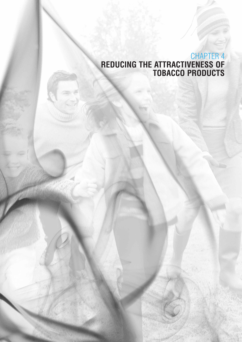### CHAPTER 4 **REDUCING THE ATTRACTIVENESS OF TOBACCO PRODUCTS**

**14** - **CONTINUING SCOTLAND'S JOURNEY TO NON-SMOKING: A SMOKING PREVENTION ACTION PLAN**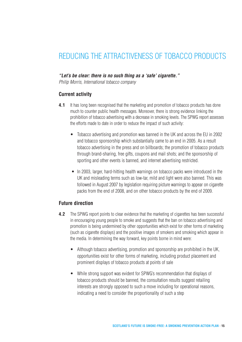# REDUCING THE ATTRACTIVENESS OF TOBACCO PRODUCTS

#### *"Let's be clear: there is no such thing as a 'safe' cigarette."*

*Philip Morris, International tobacco company*

#### **Current activity**

- **4.1** It has long been recognised that the marketing and promotion of tobacco products has done much to counter public health messages. Moreover, there is strong evidence linking the prohibition of tobacco advertising with a decrease in smoking levels. The SPWG report assesses the efforts made to date in order to reduce the impact of such activity:
	- Tobacco advertising and promotion was banned in the UK and across the EU in 2002 and tobacco sponsorship which substantially came to an end in 2005. As a result tobacco advertising in the press and on billboards; the promotion of tobacco products through brand-sharing, free gifts, coupons and mail shots; and the sponsorship of sporting and other events is banned, and internet advertising restricted.
	- In 2003, larger, hard-hitting health warnings on tobacco packs were introduced in the UK and misleading terms such as low-tar, mild and light were also banned. This was followed in August 2007 by legislation requiring picture warnings to appear on cigarette packs from the end of 2008, and on other tobacco products by the end of 2009.

#### **Future direction**

- **4.2** The SPWG report points to clear evidence that the marketing of cigarettes has been successful in encouraging young people to smoke and suggests that the ban on tobacco advertising and promotion is being undermined by other opportunities which exist for other forms of marketing (such as cigarette displays) and the positive images of smokers and smoking which appear in the media. In determining the way forward, key points borne in mind were:
	- Although tobacco advertising, promotion and sponsorship are prohibited in the UK, opportunities exist for other forms of marketing, including product placement and prominent displays of tobacco products at points of sale
	- While strong support was evident for SPWG's recommendation that displays of tobacco products should be banned, the consultation results suggest retailing interests are strongly opposed to such a move including for operational reasons, indicating a need to consider the proportionality of such a step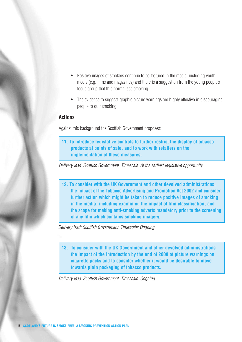- Positive images of smokers continue to be featured in the media, including youth media (e.g. films and magazines) and there is a suggestion from the young people's focus group that this normalises smoking
- The evidence to suggest graphic picture warnings are highly effective in discouraging people to quit smoking.

#### **Actions**

Against this background the Scottish Government proposes:

**11. To introduce legislative controls to further restrict the display of tobacco products at points of sale, and to work with retailers on the implementation of these measures.**

*Delivery lead: Scottish Government. Timescale: At the earliest legislative opportunity*

**12. To consider with the UK Government and other devolved administrations, the impact of the Tobacco Advertising and Promotion Act 2002 and consider further action which might be taken to reduce positive images of smoking in the media, including examining the impact of film classification, and the scope for making anti-smoking adverts mandatory prior to the screening of any film which contains smoking imagery.**

*Delivery lead: Scottish Government. Timescale: Ongoing*

**13. To consider with the UK Government and other devolved administrations the impact of the introduction by the end of 2008 of picture warnings on cigarette packs and to consider whether it would be desirable to move towards plain packaging of tobacco products.**

*Delivery lead: Scottish Government. Timescale: Ongoing*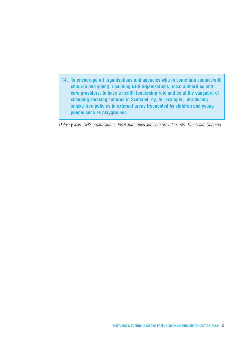**14. To encourage all organisations and agencies who in come into contact with children and young, including NHS organisations, local authorities and care providers, to have a health leadership role and be at the vanguard of changing smoking cultures in Scotland, by, for example, introducing smoke-free policies in external areas frequented by children and young people such as playgrounds.**

*Delivery lead: NHS organisations, local authorities and care providers, etc. Timescale: Ongoing*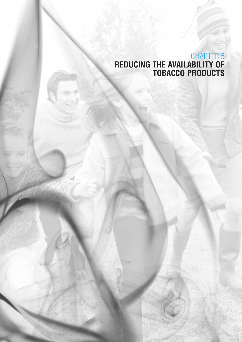### CHAPTER 5 **REDUCING THE AVAILABILITY OF TOBACCO PRODUCTS**

**18** - **CONTINUING SCOTLAND'S JOURNEY TO NON-SMOKING: A SMOKING PREVENTION ACTION PLAN**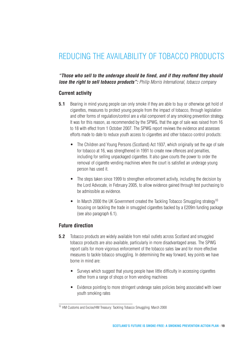# REDUCING THE AVAILABILITY OF TOBACCO PRODUCTS

*"Those who sell to the underage should be fined, and if they reoffend they should lose the right to sell tobacco products": Philip Morris International, tobacco company*

#### **Current activity**

- **5.1** Bearing in mind young people can only smoke if they are able to buy or otherwise get hold of cigarettes, measures to protect young people from the impact of tobacco, through legislation and other forms of regulation/control are a vital component of any smoking prevention strategy. It was for this reason, as recommended by the SPWG, that the age of sale was raised from 16 to 18 with effect from 1 October 2007. The SPWG report reviews the evidence and assesses efforts made to date to reduce youth access to cigarettes and other tobacco control products:
	- The Children and Young Persons (Scotland) Act 1937, which originally set the age of sale for tobacco at 16, was strengthened in 1991 to create new offences and penalties, including for selling unpackaged cigarettes. It also gave courts the power to order the removal of cigarette vending machines where the court is satisfied an underage young person has used it.
	- The steps taken since 1999 to strengthen enforcement activity, including the decision by the Lord Advocate, in February 2005, to allow evidence gained through test purchasing to be admissible as evidence.
	- In March 2000 the UK Government created the Tackling Tobacco Smuggling strategy<sup>10</sup> focusing on tackling the trade in smuggled cigarettes backed by a £209m funding package (see also paragraph 6.1).

#### **Future direction**

- **5.2** Tobacco products are widely available from retail outlets across Scotland and smuggled tobacco products are also available, particularly in more disadvantaged areas. The SPWG report calls for more vigorous enforcement of the tobacco sales law and for more effective measures to tackle tobacco smuggling. In determining the way forward, key points we have borne in mind are:
	- Surveys which suggest that young people have little difficulty in accessing cigarettes either from a range of shops or from vending machines
	- Evidence pointing to more stringent underage sales policies being associated with lower youth smoking rates

<sup>&</sup>lt;sup>10</sup> HM Customs and Excise/HM Treasury: Tackling Tobacco Smuggling: March 2000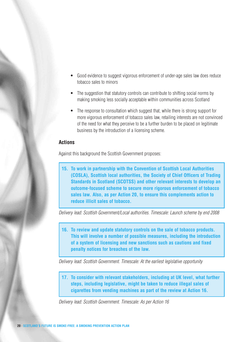- Good evidence to suggest vigorous enforcement of under-age sales law does reduce tobacco sales to minors
- The suggestion that statutory controls can contribute to shifting social norms by making smoking less socially acceptable within communities across Scotland
- The response to consultation which suggest that, while there is strong support for more vigorous enforcement of tobacco sales law, retailing interests are not convinced of the need for what they perceive to be a further burden to be placed on legitimate business by the introduction of a licensing scheme.

#### **Actions**

Against this background the Scottish Government proposes:

**15. To work in partnership with the Convention of Scottish Local Authorities (COSLA), Scottish local authorities, the Society of Chief Officers of Trading Standards in Scotland (SCOTSS) and other relevant interests to develop an outcome-focused scheme to secure more rigorous enforcement of tobacco sales law. Also, as per Action 20, to ensure this complements action to reduce illicit sales of tobacco.**

*Delivery lead: Scottish Government/Local authorities. Timescale: Launch scheme by end 2008*

**16. To review and update statutory controls on the sale of tobacco products. This will involve a number of possible measures, including the introduction of a system of licensing and new sanctions such as cautions and fixed penalty notices for breaches of the law.**

*Delivery lead: Scottish Government. Timescale: At the earliest legislative opportunity*

**17. To consider with relevant stakeholders, including at UK level, what further steps, including legislative, might be taken to reduce illegal sales of cigarettes from vending machines as part of the review at Action 16.**

*Delivery lead: Scottish Government. Timescale: As per Action 16*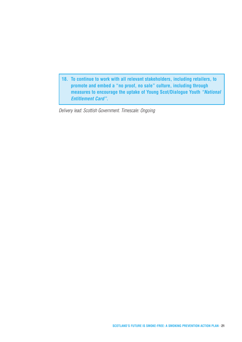**18. To continue to work with all relevant stakeholders, including retailers, to promote and embed a "no proof, no sale" culture, including through measures to encourage the uptake of Young Scot/Dialogue Youth** *"National Entitlement Card"***.**

*Delivery lead: Scottish Government. Timescale: Ongoing*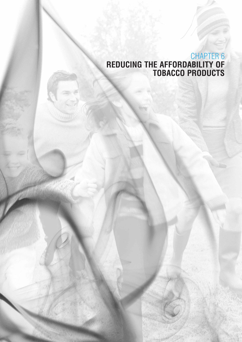### CHAPTER 6 **REDUCING THE AFFORDABILITY OF TOBACCO PRODUCTS**

**22** - **CONTINUING SCOTLAND'S JOURNEY TO NON-SMOKING: A SMOKING PREVENTION ACTION PLAN**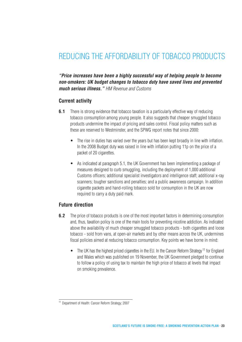# REDUCING THE AFFORDABILITY OF TOBACCO PRODUCTS

*"Price increases have been a highly successful way of helping people to become non-smokers: UK budget changes to tobacco duty have saved lives and prevented much serious illness." HM Revenue and Customs*

#### **Current activity**

- **6.1** There is strong evidence that tobacco taxation is a particularly effective way of reducing tobacco consumption among young people. It also suggests that cheaper smuggled tobacco products undermine the impact of pricing and sales control. Fiscal policy matters such as these are reserved to Westminster, and the SPWG report notes that since 2000:
	- The rise in duties has varied over the years but has been kept broadly in line with inflation. In the 2008 Budget duty was raised in line with inflation putting 11p on the price of a packet of 20 cigarettes.
	- As indicated at paragraph 5.1, the UK Government has been implementing a package of measures designed to curb smuggling, including the deployment of 1,000 additional Customs officers; additional specialist investigators and intelligence staff; additional x-ray scanners; tougher sanctions and penalties; and a public awareness campaign. In addition cigarette packets and hand-rolling tobacco sold for consumption in the UK are now required to carry a duty paid mark.

#### **Future direction**

- **6.2** The price of tobacco products is one of the most important factors in determining consumption and, thus, taxation policy is one of the main tools for preventing nicotine addiction. As indicated above the availability of much cheaper smuggled tobacco products - both cigarettes and loose tobacco - sold from vans, at open-air markets and by other means across the UK, undermines fiscal policies aimed at reducing tobacco consumption. Key points we have borne in mind:
	- The UK has the highest priced cigarettes in the EU. In the Cancer Reform Strategy<sup>11</sup> for England and Wales which was published on 19 November, the UK Government pledged to continue to follow a policy of using tax to maintain the high price of tobacco at levels that impact on smoking prevalence.

<sup>11</sup> Department of Health: Cancer Reform Strategy; 2007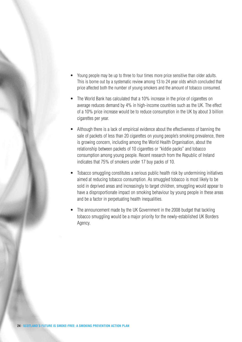- Young people may be up to three to four times more price sensitive than older adults. This is borne out by a systematic review among 13 to 24 year olds which concluded that price affected both the number of young smokers and the amount of tobacco consumed.
- The World Bank has calculated that a 10% increase in the price of cigarettes on average reduces demand by 4% in high-income countries such as the UK. The effect of a 10% price increase would be to reduce consumption in the UK by about 3 billion cigarettes per year.
- Although there is a lack of empirical evidence about the effectiveness of banning the sale of packets of less than 20 cigarettes on young people's smoking prevalence, there is growing concern, including among the World Health Organisation, about the relationship between packets of 10 cigarettes or "kiddie packs" and tobacco consumption among young people. Recent research from the Republic of Ireland indicates that 75% of smokers under 17 buy packs of 10.
- Tobacco smuggling constitutes a serious public health risk by undermining initiatives aimed at reducing tobacco consumption. As smuggled tobacco is most likely to be sold in deprived areas and increasingly to target children, smuggling would appear to have a disproportionate impact on smoking behaviour by young people in these areas and be a factor in perpetuating health inequalities.
- The announcement made by the UK Government in the 2008 budget that tackling tobacco smuggling would be a major priority for the newly-established UK Borders Agency.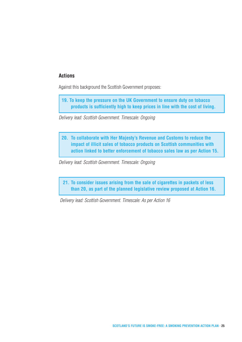#### **Actions**

Against this background the Scottish Government proposes:

**19. To keep the pressure on the UK Government to ensure duty on tobacco products is sufficiently high to keep prices in line with the cost of living.**

*Delivery lead: Scottish Government. Timescale: Ongoing*

**20. To collaborate with Her Majesty's Revenue and Customs to reduce the impact of illicit sales of tobacco products on Scottish communities with action linked to better enforcement of tobacco sales law as per Action 15.**

*Delivery lead: Scottish Government. Timescale: Ongoing*

**21. To consider issues arising from the sale of cigarettes in packets of less than 20, as part of the planned legislative review proposed at Action 16.**

*Delivery lead: Scottish Government. Timescale: As per Action 16*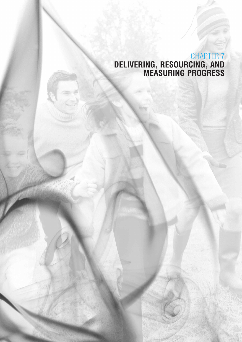### CHAPTER 7 **DELIVERING, RESOURCING, AND MEASURING PROGRESS**

**26** - **CONTINUING SCOTLAND'S JOURNEY TO NON-SMOKING: A SMOKING PREVENTION ACTION PLAN**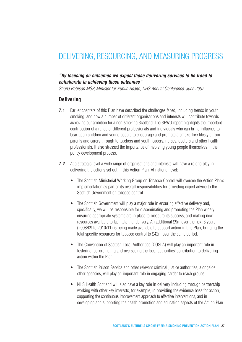## DELIVERING, RESOURCING, AND MEASURING PROGRESS

#### *"By focusing on outcomes we expect those delivering services to be freed to collaborate in achieving those outcomes"*

*Shona Robison MSP, Minister for Public Health, NHS Annual Conference, June 2007*

#### **Delivering**

- **7.1** Earlier chapters of this Plan have described the challenges faced, including trends in youth smoking, and how a number of different organisations and interests will contribute towards achieving our ambition for a non-smoking Scotland. The SPWG report highlights the important contribution of a range of different professionals and individuals who can bring influence to bear upon children and young people to encourage and promote a smoke-free lifestyle from parents and carers through to teachers and youth leaders, nurses, doctors and other health professionals. It also stressed the importance of involving young people themselves in the policy development process.
- **7.2** At a strategic level a wide range of organisations and interests will have a role to play in delivering the actions set out in this Action Plan. At national level:
	- The Scottish Ministerial Working Group on Tobacco Control will oversee the Action Plan's implementation as part of its overall responsibilities for providing expert advice to the Scottish Government on tobacco control.
	- The Scottish Government will play a major role in ensuring effective delivery and, specifically, we will be responsible for disseminating and promoting the Plan widely; ensuring appropriate systems are in place to measure its success; and making new resources available to facilitate that delivery. An additional £9m over the next 3 years (2008/09 to 2010/11) is being made available to support action in this Plan, bringing the total specific resources for tobacco control to £42m over the same period.
	- The Convention of Scottish Local Authorities (COSLA) will play an important role in fostering, co-ordinating and overseeing the local authorities' contribution to delivering action within the Plan.
	- The Scottish Prison Service and other relevant criminal justice authorities, alongside other agencies, will play an important role in engaging harder to reach groups.
	- NHS Health Scotland will also have a key role in delivery including through partnership working with other key interests, for example, in providing the evidence base for action, supporting the continuous improvement approach to effective interventions, and in developing and supporting the health promotion and education aspects of the Action Plan.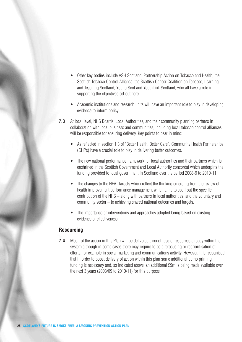- Other key bodies include ASH Scotland, Partnership Action on Tobacco and Health, the Scottish Tobacco Control Alliance, the Scottish Cancer Coalition on Tobacco, Learning and Teaching Scotland, Young Scot and YouthLink Scotland, who all have a role in supporting the objectives set out here.
- Academic institutions and research units will have an important role to play in developing evidence to inform policy.
- **7.3** At local level, NHS Boards, Local Authorities, and their community planning partners in collaboration with local business and communities, including local tobacco control alliances, will be responsible for ensuring delivery. Key points to bear in mind:
	- As reflected in section 1.3 of "Better Health, Better Care", Community Health Partnerships (CHPs) have a crucial role to play in delivering better outcomes.
	- The new national performance framework for local authorities and their partners which is enshrined in the Scottish Government and Local Authority concordat which underpins the funding provided to local government in Scotland over the period 2008-9 to 2010-11.
	- The changes to the HEAT targets which reflect the thinking emerging from the review of health improvement performance management which aims to spell out the specific contribution of the NHS – along with partners in local authorities, and the voluntary and community sector – to achieving shared national outcomes and targets.
	- The importance of interventions and approaches adopted being based on existing evidence of effectiveness.

#### **Resourcing**

**7.4** Much of the action in this Plan will be delivered through use of resources already within the system although in some cases there may require to be a refocusing or reprioritisation of efforts, for example in social marketing and communications activity. However, it is recognised that in order to boost delivery of action within this plan some additional pump priming funding is necessary and, as indicated above, an additional £9m is being made available over the next 3 years (2008/09 to 2010/11) for this purpose.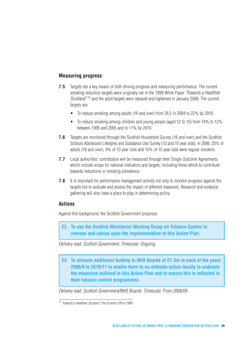#### **Measuring progress**

- **7.5** Targets are a key means of both driving progress and measuring performance. The current smoking reduction targets were originally set in the 1999 White Paper*"Towards a Healthier Scotland"* <sup>12</sup> and the adult targets were rebased and tightened in January 2006. The current targets are:
	- To reduce smoking among adults (16 and over) from 26.5 in 2004 to 22% by 2010.
	- To reduce smoking among children and young people (aged 12 to 15) from 14% to 12% between 1995 and 2005 and to 11% by 2010.
- **7.6** Targets are monitored through the Scottish Household Survey (16 and over) and the Scottish Schools Adolescent Lifestyles and Substance Use Survey (13 and 15 year olds). In 2006, 25% of adults (16 and over), 4% of 13 year olds and 15% of 15 year olds were regular smokers.
- **7.7** Local authorities' contribution will be measured through their Single Outcome Agreements which include scope for national indicators and targets, including those which to contribute towards reductions in smoking prevalence.
- **7.8** It is important for performance management activity not only to monitor progress against the targets but to evaluate and assess the impact of different measures. Research and evidence gathering will also have a place to play in determining policy.

#### **Actions**

Against this background, the Scottish Government proposes:

**22. To use the Scottish Ministerial Working Group on Tobacco Control to oversee and advise upon the implementation of this Action Plan.**

*Delivery lead: Scottish Government. Timescale: Ongoing*

**23. To allocate additional funding to NHS Boards of £1.5m in each of the years 2008/9 to 2010/11 to enable them to co-ordinate action locally to underpin the measures outlined in this Action Plan and to ensure this is reflected in their tobacco control programmes.**

*Delivery lead: Scottish Government/NHS Boards. Timescale: From 2008/09*

<sup>&</sup>lt;sup>12</sup> *Towards a Healthier Scotland.* The Scottish Office 1999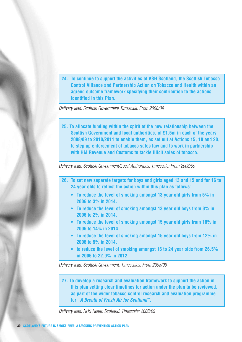**24. To continue to support the activities of ASH Scotland, the Scottish Tobacco Control Alliance and Partnership Action on Tobacco and Health within an agreed outcome framework specifying their contribution to the actions identified in this Plan.**

#### *Delivery lead: Scottish Government Timescale: From 2008/09*

**25. To allocate funding within the spirit of the new relationship between the Scottish Government and local authorities, of £1.5m in each of the years 2008/09 to 2010/2011 to enable them, as set out at Actions 15, 18 and 20, to step up enforcement of tobacco sales law and to work in partnership with HM Revenue and Customs to tackle illicit sales of tobacco.**

#### *Delivery lead: Scottish Government/Local Authorities. Timescale: From 2008/09*

- **26. To set new separate targets for boys and girls aged 13 and 15 and for 16 to 24 year olds to reflect the action within this plan as follows:**
	- **To reduce the level of smoking amongst 13 year old girls from 5% in 2006 to 3% in 2014.**
	- **To reduce the level of smoking amongst 13 year old boys from 3% in 2006 to 2% in 2014.**
	- **To reduce the level of smoking amongst 15 year old girls from 18% in 2006 to 14% in 2014.**
	- **To reduce the level of smoking amongst 15 year old boys from 12% in 2006 to 9% in 2014.**
	- **to reduce the level of smoking amongst 16 to 24 year olds from 26.5% in 2006 to 22.9% in 2012.**

*Delivery lead: Scottish Government. Timescales: From 2008/09*

**27. To develop a research and evaluation framework to support the action in this plan setting clear timelines for action under the plan to be reviewed, as part of the wider tobacco control research and evaluation programme for** *"A Breath of Fresh Air for Scotland"***.**

*Delivery lead: NHS Health Scotland. Timescale: 2008/09*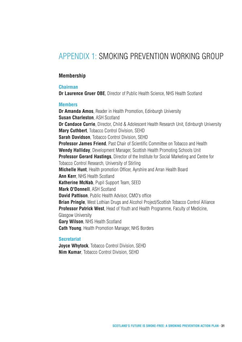### APPENDIX 1: SMOKING PREVENTION WORKING GROUP

#### **Membership**

#### **Chairman**

**Dr Laurence Gruer OBE**, Director of Public Health Science, NHS Health Scotland

#### **Members**

**Dr Amanda Amos**, Reader in Health Promotion, Edinburgh University **Susan Charleston**, ASH Scotland **Dr Candace Currie**, Director, Child & Adolescent Health Research Unit, Edinburgh University **Mary Cuthbert**, Tobacco Control Division, SEHD **Sarah Davidson**, Tobacco Control Division, SEHD **Professor James Friend**, Past Chair of Scientific Committee on Tobacco and Health **Wendy Halliday**, Development Manager, Scottish Health Promoting Schools Unit **Professor Gerard Hastings**, Director of the Institute for Social Marketing and Centre for Tobacco Control Research, University of Stirling **Michelle Hunt**, Health promotion Officer, Ayrshire and Arran Health Board **Ann Kerr**, NHS Health Scotland **Katherine McNab**, Pupil Support Team, SEED **Mark O'Donnell**, ASH Scotland **David Pattison**, Public Health Advisor, CMO's office **Brian Pringle**, West Lothian Drugs and Alcohol Project/Scottish Tobacco Control Alliance **Professor Patrick West**, Head of Youth and Health Programme, Faculty of Medicine, Glasgow University **Gary Wilson**, NHS Health Scotland **Cath Young**, Health Promotion Manager, NHS Borders

#### **Secretariat**

**Joyce Whytock**, Tobacco Control Division, SEHD **Nim Kumar**, Tobacco Control Division, SEHD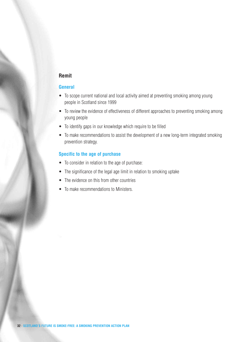#### **Remit**

#### **General**

- To scope current national and local activity aimed at preventing smoking among young people in Scotland since 1999
- To review the evidence of effectiveness of different approaches to preventing smoking among young people
- To identify gaps in our knowledge which require to be filled
- To make recommendations to assist the development of a new long-term integrated smoking prevention strategy.

#### **Specific to the age of purchase**

- To consider in relation to the age of purchase:
- The significance of the legal age limit in relation to smoking uptake
- The evidence on this from other countries
- To make recommendations to Ministers.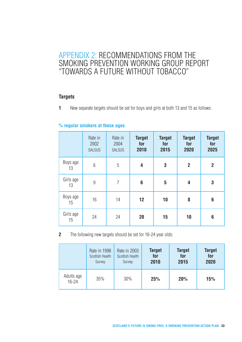### APPENDIX 2: RECOMMENDATIONS FROM THE SMOKING PREVENTION WORKING GROUP REPORT "TOWARDS A FUTURE WITHOUT TOBACCO"

#### **Targets**

**1** New separate targets should be set for boys and girls at both 13 and 15 as follows:

|                 | Rate in<br>2002<br><b>SALSUS</b> | Rate in<br>2004<br><b>SALSUS</b> | <b>Target</b><br>for<br>2010 | <b>Target</b><br>for<br>2015 | <b>Target</b><br>for<br>2020 | <b>Target</b><br>for<br>2025 |
|-----------------|----------------------------------|----------------------------------|------------------------------|------------------------------|------------------------------|------------------------------|
| Boys age<br>13  | 6                                | 5                                | 4                            | 3                            | $\overline{2}$               | $\overline{2}$               |
| Girls age<br>13 | $\boldsymbol{9}$                 | 7                                | $6\phantom{1}$               | $5\phantom{.0}$              | 4                            | 3                            |
| Boys age<br>15  | 16                               | 14                               | 12                           | 10                           | 8                            | $6\phantom{1}$               |
| Girls age<br>15 | 24                               | 24                               | 20                           | 15                           | 10                           | 6                            |

#### **% regular smokers at these ages**

**2** The following new targets should be set for 16-24 year olds:

|                         | Rate in 1998    | Rate in 2003           | <b>Target</b> | <b>Target</b> | <b>Target</b> |
|-------------------------|-----------------|------------------------|---------------|---------------|---------------|
|                         | Scottish Health | <b>Scottish Health</b> | for           | for           | for           |
|                         | Survey          | Survey                 | 2010          | 2015          | 2020          |
| Adults age<br>$16 - 24$ | 35%             | 30%                    | 25%           | 20%           | 15%           |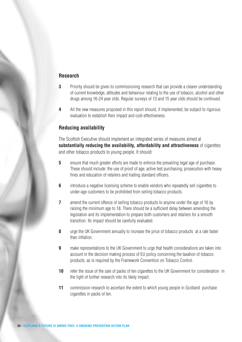#### **Research**

- **3** Priority should be given to commissioning research that can provide a clearer understanding of current knowledge, attitudes and behaviour relating to the use of tobacco, alcohol and other drugs among 16-24 year olds. Regular surveys of 13 and 15 year olds should be continued.
- **4** All the new measures proposed in this report should, if implemented, be subject to rigorous evaluation to establish their impact and cost-effectiveness.

#### **Reducing availability**

The Scottish Executive should implement an integrated series of measures aimed at **substantially reducing the availability, affordability and attractiveness** of cigarettes and other tobacco products to young people. It should:

- **5** ensure that much greater efforts are made to enforce the prevailing legal age of purchase. These should include: the use of proof of age; active test purchasing; prosecution with heavy fines and education of retailers and trading standard officers.
- **6** introduce a negative licensing scheme to enable vendors who repeatedly sell cigarettes to under-age customers to be prohibited from selling tobacco products.
- **7** amend the current offence of selling tobacco products to anyone under the age of 16 by raising the minimum age to 18. There should be a sufficient delay between amending the legislation and its implementation to prepare both customers and retailers for a smooth transition. Its impact should be carefully evaluated.
- **8** urge the UK Government annually to increase the price of tobacco products at a rate faster than inflation.
- **9** make representations to the UK Government to urge that health considerations are taken into account in the decision making process of EU policy concerning the taxation of tobacco products, as is required by the Framework Convention on Tobacco Control.
- **10** refer the issue of the sale of packs of ten cigarettes to the UK Government for consideration in the light of further research into its likely impact.
- **11** commission research to ascertain the extent to which young people in Scotland purchase cigarettes in packs of ten.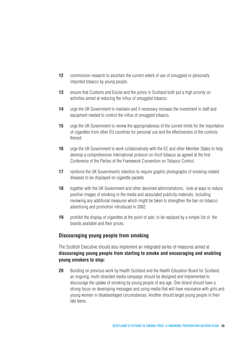- **12** commission research to ascertain the current extent of use of smuggled or personally imported tobacco by young people.
- **13** ensure that Customs and Excise and the police in Scotland both put a high priority on activities aimed at reducing the influx of smuggled tobacco.
- **14** urge the UK Government to maintain and if necessary increase the investment in staff and equipment needed to control the influx of smuggled tobacco.
- **15** urge the UK Government to review the appropriateness of the current limits for the importation of cigarettes from other EU countries for personal use and the effectiveness of the controls thereof.
- **16** urge the UK Government to work collaboratively with the EC and other Member States to help develop a comprehensive international protocol on illicit tobacco as agreed at the first Conference of the Parties of the Framework Convention on Tobacco Control.
- **17** reinforce the UK Government's intention to require graphic photographs of smoking-related diseases to be displayed on cigarette packets.
- **18** together with the UK Government and other devolved administrations, look at ways to reduce positive images of smoking in the media and associated publicity materials, including reviewing any additional measures which might be taken to strengthen the ban on tobacco advertising and promotion introduced in 2002.
- **19** prohibit the display of cigarettes at the point of sale, to be replaced by a simple list of the brands available and their prices.

#### **Discouraging young people from smoking**

The Scottish Executive should also implement an integrated series of measures aimed at **discouraging young people from starting to smoke and encouraging and enabling young smokers to stop:**

**20** Building on previous work by Health Scotland and the Health Education Board for Scotland, an ongoing, multi-stranded media campaign should be designed and implemented to discourage the uptake of smoking by young people of any age. One strand should have a strong focus on developing messages and using media that will have resonance with girls and young women in disadvantaged circumstances. Another should target young people in their late teens.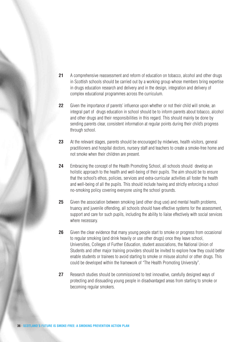- **21** A comprehensive reassessment and reform of education on tobacco, alcohol and other drugs in Scottish schools should be carried out by a working group whose members bring expertise in drugs education research and delivery and in the design, integration and delivery of complex educational programmes across the curriculum.
- **22** Given the importance of parents' influence upon whether or not their child will smoke, an integral part of drugs education in school should be to inform parents about tobacco, alcohol and other drugs and their responsibilities in this regard. This should mainly be done by sending parents clear, consistent information at regular points during their child's progress through school.
- 23 At the relevant stages, parents should be encouraged by midwives, health visitors, general practitioners and hospital doctors, nursery staff and teachers to create a smoke-free home and not smoke when their children are present.
- **24** Embracing the concept of the Health Promoting School, all schools should develop an holistic approach to the health and well-being of their pupils. The aim should be to ensure that the school's ethos, policies, services and extra-curricular activities all foster the health and well-being of all the pupils. This should include having and strictly enforcing a school no-smoking policy covering everyone using the school grounds.
- **25** Given the association between smoking (and other drug use) and mental health problems, truancy and juvenile offending, all schools should have effective systems for the assessment, support and care for such pupils, including the ability to liaise effectively with social services where necessary.
- **26** Given the clear evidence that many young people start to smoke or progress from occasional to regular smoking (and drink heavily or use other drugs) once they leave school, Universities, Colleges of Further Education, student associations, the National Union of Students and other major training providers should be invited to explore how they could better enable students or trainees to avoid starting to smoke or misuse alcohol or other drugs. This could be developed within the framework of "The Health Promoting University".
- **27** Research studies should be commissioned to test innovative, carefully designed ways of protecting and dissuading young people in disadvantaged areas from starting to smoke or becoming regular smokers.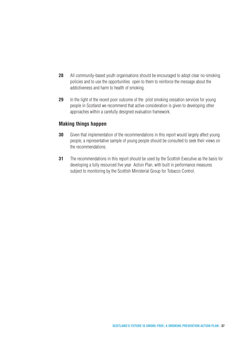- **28** All community-based youth organisations should be encouraged to adopt clear no-smoking policies and to use the opportunities open to them to reinforce the message about the addictiveness and harm to health of smoking.
- **29** In the light of the recent poor outcome of the pilot smoking cessation services for young people in Scotland we recommend that active consideration is given to developing other approaches within a carefully designed evaluation framework.

#### **Making things happen**

- **30** Given that implementation of the recommendations in this report would largely affect young people, a representative sample of young people should be consulted to seek their views on the recommendations.
- **31** The recommendations in this report should be used by the Scottish Executive as the basis for developing a fully resourced five year Action Plan, with built in performance measures subject to monitoring by the Scottish Ministerial Group for Tobacco Control.